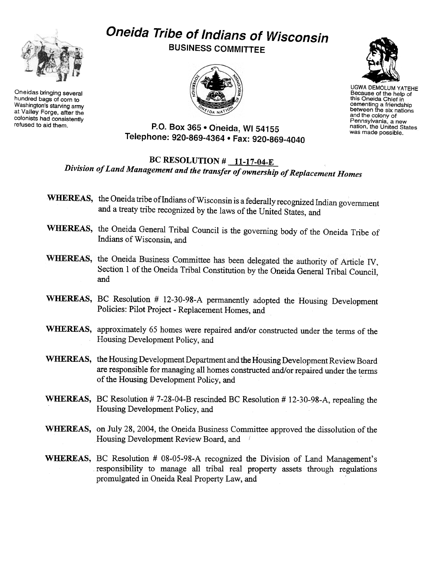

Oneidas bringing several hundred bags of corn to Washington's starving army at Valley Forge. after the colonists had consistently

## Oneida Tribe of Indians of Wisconsin

BUSINESS COMMITTEE





UGWA DEMOLUM YATEHE Because of the help of this Oneida Chief in cementing a friendship between the six nations and the colony of Pennsylvania, a new nation, the United States was made possible.

refused to aid them. P.O. Box 365 . Oneida, WI 54155 Telephone: 920-869-4364 · Fax: 920-869-4040

## BC RESOLUTION  $\#$  11-17-04-E Division of Land Management and the transfer of ownership of Replacement Homes

- WHEREAS, the Oneida tribe of Indians of Wisconsin is a federally recognized Indian government and a treaty tribe recognized by the laws of the United States, and
- WHEREAS, the Oneida General Tribal Council is the governing body of the Oneida Tribe of Indians of Wisconsin, and
- WHEREAS, the Oneida Business Committee has been delegated the authority of Article IV, Section 1 of the Oneida Tribal Constitution by the Oneida General Tribal Council, and
- WHEREAS, BC Resolution # 12-30-98-A permanently adopted the Housing Development Policies: Pilot Project - Replacement Homes, and
- WHEREAS, approximately 65 homes were repaired and/or constructed under the terms of the Housing Development Policy, and
- WHEREAS, the Housing Development Department and the Housing Development Review Board are responsible for managing all homes constructed and/or repaired under the terms of the Housing Development Policy, and
- WHEREAS, BC Resolution # 7-28-04-B rescinded BC Resolution # 12-30-98-A, repealing the Housing Development Policy, and
- WHEREAS, on July 28, 2004, the Oneida Business Committee approved the dissolution of the Housing Development Review Board, and (
- WHEREAS, BC Resolution # 08-05-98-A recognized the Division of Land Management's responsibility to manage all tribal real property assets through regulations promulgated in Oneida Real Property Law, and '